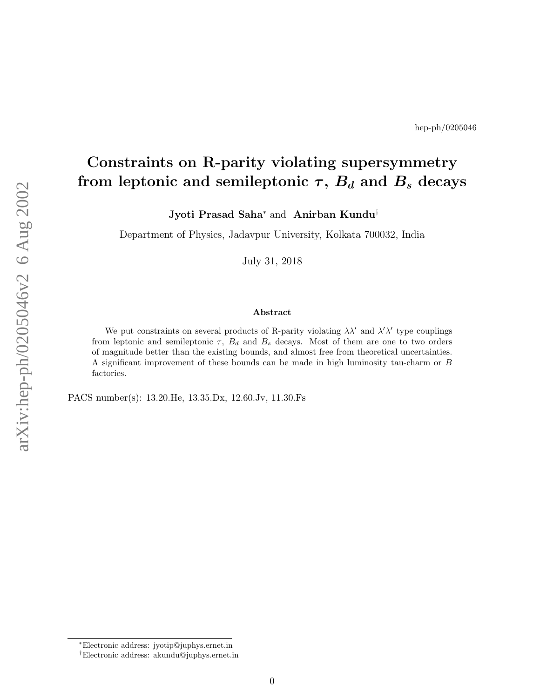# Constraints on R-parity violating supersymmetry from leptonic and semileptonic  $\tau,\,B_d$  and  $B_s$  decays

Jyoti Prasad Saha<sup>\*</sup> and Anirban Kundu<sup>†</sup>

Department of Physics, Jadavpur University, Kolkata 700032, India

July 31, 2018

#### Abstract

We put constraints on several products of R-parity violating  $\lambda \lambda'$  and  $\lambda' \lambda'$  type couplings from leptonic and semileptonic  $\tau$ ,  $B_d$  and  $B_s$  decays. Most of them are one to two orders of magnitude better than the existing bounds, and almost free from theoretical uncertainties. A significant improvement of these bounds can be made in high luminosity tau-charm or B factories.

PACS number(s): 13.20.He, 13.35.Dx, 12.60.Jv, 11.30.Fs

<sup>∗</sup>Electronic address: jyotip@juphys.ernet.in

<sup>†</sup>Electronic address: akundu@juphys.ernet.in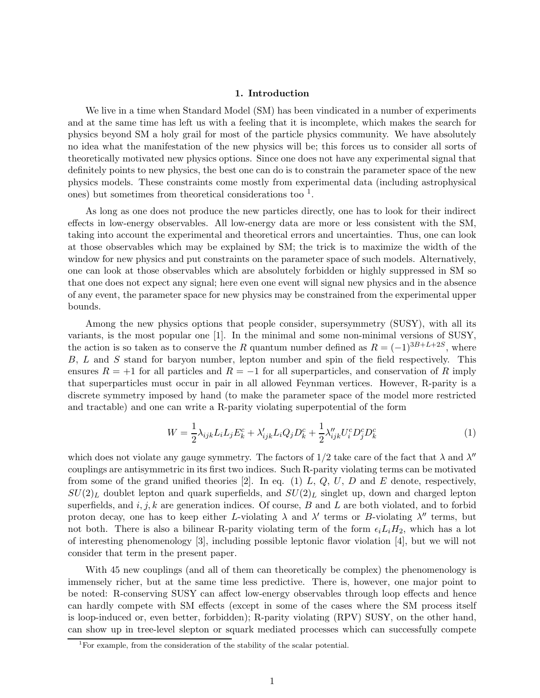## 1. Introduction

We live in a time when Standard Model (SM) has been vindicated in a number of experiments and at the same time has left us with a feeling that it is incomplete, which makes the search for physics beyond SM a holy grail for most of the particle physics community. We have absolutely no idea what the manifestation of the new physics will be; this forces us to consider all sorts of theoretically motivated new physics options. Since one does not have any experimental signal that definitely points to new physics, the best one can do is to constrain the parameter space of the new physics models. These constraints come mostly from experimental data (including astrophysical ones) but sometimes from theoretical considerations too  $<sup>1</sup>$ .</sup>

As long as one does not produce the new particles directly, one has to look for their indirect effects in low-energy observables. All low-energy data are more or less consistent with the SM, taking into account the experimental and theoretical errors and uncertainties. Thus, one can look at those observables which may be explained by SM; the trick is to maximize the width of the window for new physics and put constraints on the parameter space of such models. Alternatively, one can look at those observables which are absolutely forbidden or highly suppressed in SM so that one does not expect any signal; here even one event will signal new physics and in the absence of any event, the parameter space for new physics may be constrained from the experimental upper bounds.

Among the new physics options that people consider, supersymmetry (SUSY), with all its variants, is the most popular one [1]. In the minimal and some non-minimal versions of SUSY, the action is so taken as to conserve the R quantum number defined as  $R = (-1)^{3B+L+2S}$ , where B, L and S stand for baryon number, lepton number and spin of the field respectively. This ensures  $R = +1$  for all particles and  $R = -1$  for all superparticles, and conservation of R imply that superparticles must occur in pair in all allowed Feynman vertices. However, R-parity is a discrete symmetry imposed by hand (to make the parameter space of the model more restricted and tractable) and one can write a R-parity violating superpotential of the form

$$
W = \frac{1}{2}\lambda_{ijk}L_iL_jE_k^c + \lambda'_{ijk}L_iQ_jD_k^c + \frac{1}{2}\lambda''_{ijk}U_i^cD_j^cD_k^c
$$
\n<sup>(1)</sup>

which does not violate any gauge symmetry. The factors of  $1/2$  take care of the fact that  $\lambda$  and  $\lambda''$ couplings are antisymmetric in its first two indices. Such R-parity violating terms can be motivated from some of the grand unified theories [2]. In eq. (1) L, Q, U, D and E denote, respectively,  $SU(2)_L$  doublet lepton and quark superfields, and  $SU(2)_L$  singlet up, down and charged lepton superfields, and  $i, j, k$  are generation indices. Of course, B and L are both violated, and to forbid proton decay, one has to keep either L-violating  $\lambda$  and  $\lambda'$  terms or B-violating  $\lambda''$  terms, but not both. There is also a bilinear R-parity violating term of the form  $\epsilon_i L_i H_2$ , which has a lot of interesting phenomenology [3], including possible leptonic flavor violation [4], but we will not consider that term in the present paper.

With 45 new couplings (and all of them can theoretically be complex) the phenomenology is immensely richer, but at the same time less predictive. There is, however, one major point to be noted: R-conserving SUSY can affect low-energy observables through loop effects and hence can hardly compete with SM effects (except in some of the cases where the SM process itself is loop-induced or, even better, forbidden); R-parity violating (RPV) SUSY, on the other hand, can show up in tree-level slepton or squark mediated processes which can successfully compete

<sup>&</sup>lt;sup>1</sup>For example, from the consideration of the stability of the scalar potential.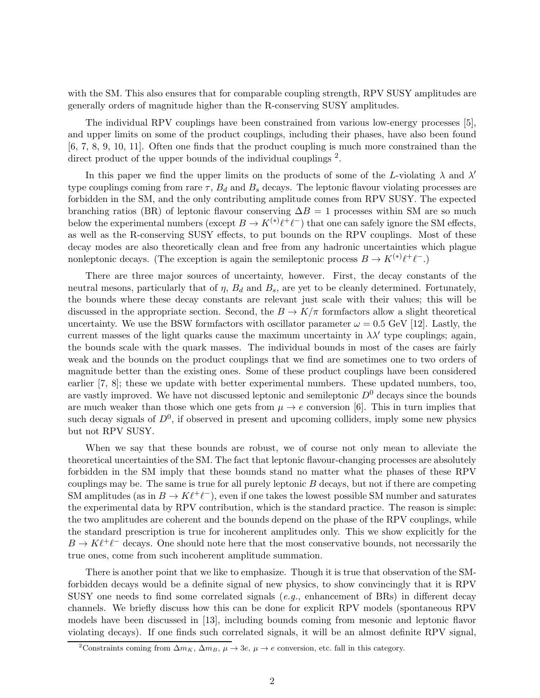with the SM. This also ensures that for comparable coupling strength, RPV SUSY amplitudes are generally orders of magnitude higher than the R-conserving SUSY amplitudes.

The individual RPV couplings have been constrained from various low-energy processes [5], and upper limits on some of the product couplings, including their phases, have also been found [6, 7, 8, 9, 10, 11]. Often one finds that the product coupling is much more constrained than the direct product of the upper bounds of the individual couplings<sup>2</sup>.

In this paper we find the upper limits on the products of some of the L-violating  $\lambda$  and  $\lambda'$ type couplings coming from rare  $\tau$ ,  $B_d$  and  $B_s$  decays. The leptonic flavour violating processes are forbidden in the SM, and the only contributing amplitude comes from RPV SUSY. The expected branching ratios (BR) of leptonic flavour conserving  $\Delta B = 1$  processes within SM are so much below the experimental numbers (except  $B \to K^{(*)}\ell^+\ell^-$ ) that one can safely ignore the SM effects, as well as the R-conserving SUSY effects, to put bounds on the RPV couplings. Most of these decay modes are also theoretically clean and free from any hadronic uncertainties which plague nonleptonic decays. (The exception is again the semileptonic process  $B \to K^{(*)}\ell^+\ell^-$ .)

There are three major sources of uncertainty, however. First, the decay constants of the neutral mesons, particularly that of  $\eta$ ,  $B_d$  and  $B_s$ , are yet to be cleanly determined. Fortunately, the bounds where these decay constants are relevant just scale with their values; this will be discussed in the appropriate section. Second, the  $B \to K/\pi$  formfactors allow a slight theoretical uncertainty. We use the BSW formfactors with oscillator parameter  $\omega = 0.5$  GeV [12]. Lastly, the current masses of the light quarks cause the maximum uncertainty in  $\lambda \lambda'$  type couplings; again, the bounds scale with the quark masses. The individual bounds in most of the cases are fairly weak and the bounds on the product couplings that we find are sometimes one to two orders of magnitude better than the existing ones. Some of these product couplings have been considered earlier [7, 8]; these we update with better experimental numbers. These updated numbers, too, are vastly improved. We have not discussed leptonic and semileptonic  $D^0$  decays since the bounds are much weaker than those which one gets from  $\mu \to e$  conversion [6]. This in turn implies that such decay signals of  $D^0$ , if observed in present and upcoming colliders, imply some new physics but not RPV SUSY.

When we say that these bounds are robust, we of course not only mean to alleviate the theoretical uncertainties of the SM. The fact that leptonic flavour-changing processes are absolutely forbidden in the SM imply that these bounds stand no matter what the phases of these RPV couplings may be. The same is true for all purely leptonic B decays, but not if there are competing SM amplitudes (as in  $B \to K\ell^+\ell^-$ ), even if one takes the lowest possible SM number and saturates the experimental data by RPV contribution, which is the standard practice. The reason is simple: the two amplitudes are coherent and the bounds depend on the phase of the RPV couplings, while the standard prescription is true for incoherent amplitudes only. This we show explicitly for the  $B \to K \ell^+ \ell^-$  decays. One should note here that the most conservative bounds, not necessarily the true ones, come from such incoherent amplitude summation.

There is another point that we like to emphasize. Though it is true that observation of the SMforbidden decays would be a definite signal of new physics, to show convincingly that it is RPV SUSY one needs to find some correlated signals  $(e.g.,)$  enhancement of BRs) in different decay channels. We briefly discuss how this can be done for explicit RPV models (spontaneous RPV models have been discussed in [13], including bounds coming from mesonic and leptonic flavor violating decays). If one finds such correlated signals, it will be an almost definite RPV signal,

<sup>&</sup>lt;sup>2</sup>Constraints coming from  $\Delta m_K$ ,  $\Delta m_B$ ,  $\mu \rightarrow 3e$ ,  $\mu \rightarrow e$  conversion, etc. fall in this category.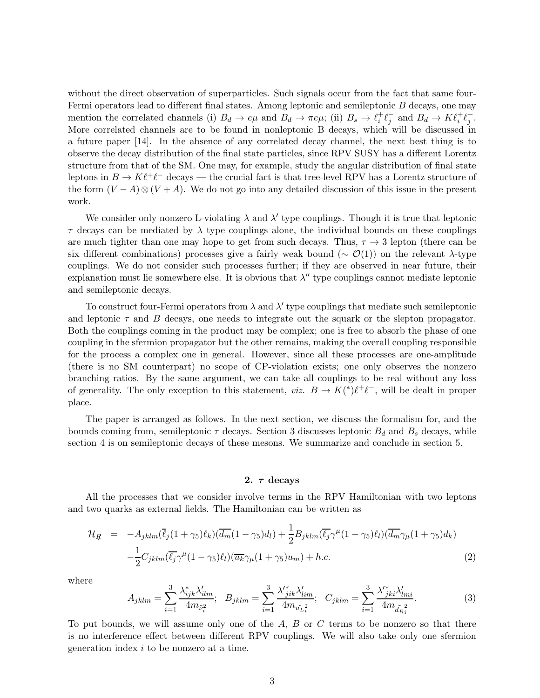without the direct observation of superparticles. Such signals occur from the fact that same four-Fermi operators lead to different final states. Among leptonic and semileptonic  $B$  decays, one may mention the correlated channels (i)  $B_d \to e\mu$  and  $B_d \to \pi e\mu$ ; (ii)  $B_s \to \ell_i^+ \ell_j^-$  and  $B_d \to K \ell_i^+ \ell_j^-$ . More correlated channels are to be found in nonleptonic B decays, which will be discussed in a future paper [14]. In the absence of any correlated decay channel, the next best thing is to observe the decay distribution of the final state particles, since RPV SUSY has a different Lorentz structure from that of the SM. One may, for example, study the angular distribution of final state leptons in  $B \to K\ell^+\ell^-$  decays — the crucial fact is that tree-level RPV has a Lorentz structure of the form  $(V - A) \otimes (V + A)$ . We do not go into any detailed discussion of this issue in the present work.

We consider only nonzero L-violating  $\lambda$  and  $\lambda'$  type couplings. Though it is true that leptonic  $\tau$  decays can be mediated by  $\lambda$  type couplings alone, the individual bounds on these couplings are much tighter than one may hope to get from such decays. Thus,  $\tau \to 3$  lepton (there can be six different combinations) processes give a fairly weak bound ( $\sim \mathcal{O}(1)$ ) on the relevant λ-type couplings. We do not consider such processes further; if they are observed in near future, their explanation must lie somewhere else. It is obvious that  $\lambda''$  type couplings cannot mediate leptonic and semileptonic decays.

To construct four-Fermi operators from  $\lambda$  and  $\lambda'$  type couplings that mediate such semileptonic and leptonic  $\tau$  and  $B$  decays, one needs to integrate out the squark or the slepton propagator. Both the couplings coming in the product may be complex; one is free to absorb the phase of one coupling in the sfermion propagator but the other remains, making the overall coupling responsible for the process a complex one in general. However, since all these processes are one-amplitude (there is no SM counterpart) no scope of CP-violation exists; one only observes the nonzero branching ratios. By the same argument, we can take all couplings to be real without any loss of generality. The only exception to this statement,  $viz. B \to K(^{*})\ell^{+}\ell^{-}$ , will be dealt in proper place.

The paper is arranged as follows. In the next section, we discuss the formalism for, and the bounds coming from, semileptonic  $\tau$  decays. Section 3 discusses leptonic  $B_d$  and  $B_s$  decays, while section 4 is on semileptonic decays of these mesons. We summarize and conclude in section 5.

### 2.  $\tau$  decays

All the processes that we consider involve terms in the RPV Hamiltonian with two leptons and two quarks as external fields. The Hamiltonian can be written as

$$
\mathcal{H}_{R} = -A_{jklm}(\overline{\ell}_{j}(1+\gamma_{5})\ell_{k})(\overline{d_{m}}(1-\gamma_{5})d_{l}) + \frac{1}{2}B_{jklm}(\overline{\ell}_{j}\gamma^{\mu}(1-\gamma_{5})\ell_{l})(\overline{d_{m}}\gamma_{\mu}(1+\gamma_{5})d_{k}) - \frac{1}{2}C_{jklm}(\overline{\ell}_{j}\gamma^{\mu}(1-\gamma_{5})\ell_{l})(\overline{u_{k}}\gamma_{\mu}(1+\gamma_{5})u_{m}) + h.c.
$$
\n(2)

where

$$
A_{jklm} = \sum_{i=1}^{3} \frac{\lambda_{ijk}^* \lambda_{ilm}'}{4m_{\tilde{\nu}_i^2}}; \quad B_{jklm} = \sum_{i=1}^{3} \frac{\lambda_{jik}^* \lambda_{lim}'}{4m_{\tilde{\nu}_i^2}}; \quad C_{jklm} = \sum_{i=1}^{3} \frac{\lambda_{jki}^* \lambda_{lmi}'}{4m_{\tilde{d}_{R_i}^2}}.
$$
 (3)

To put bounds, we will assume only one of the  $A, B$  or  $C$  terms to be nonzero so that there is no interference effect between different RPV couplings. We will also take only one sfermion generation index i to be nonzero at a time.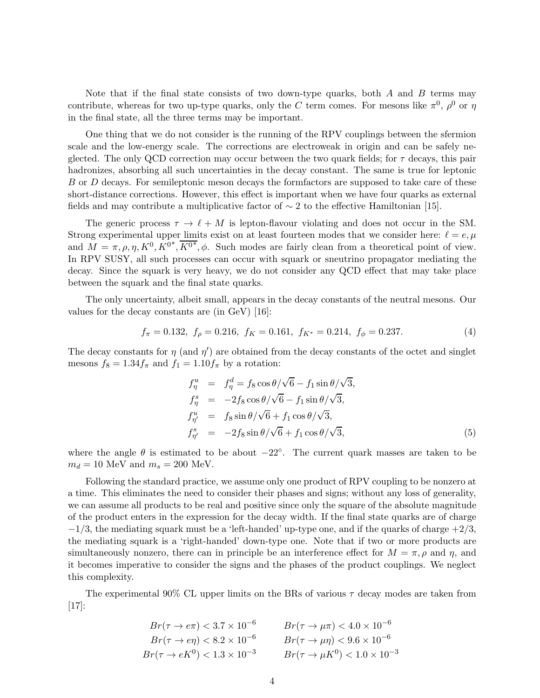Note that if the final state consists of two down-type quarks, both  $A$  and  $B$  terms may contribute, whereas for two up-type quarks, only the C term comes. For mesons like  $\pi^0$ ,  $\rho^0$  or  $\eta$ in the final state, all the three terms may be important.

One thing that we do not consider is the running of the RPV couplings between the sfermion scale and the low-energy scale. The corrections are electroweak in origin and can be safely neglected. The only QCD correction may occur between the two quark fields; for  $\tau$  decays, this pair hadronizes, absorbing all such uncertainties in the decay constant. The same is true for leptonic B or D decays. For semileptonic meson decays the formfactors are supposed to take care of these short-distance corrections. However, this effect is important when we have four quarks as external fields and may contribute a multiplicative factor of  $\sim$  2 to the effective Hamiltonian [15].

The generic process  $\tau \to \ell + M$  is lepton-flavour violating and does not occur in the SM. Strong experimental upper limits exist on at least fourteen modes that we consider here:  $\ell = e, \mu$ and  $\overline{M} = \pi, \rho, \eta, K^0, \overline{K}^{0*}, \overline{K}^{0*}, \phi$ . Such modes are fairly clean from a theoretical point of view. In RPV SUSY, all such processes can occur with squark or sneutrino propagator mediating the decay. Since the squark is very heavy, we do not consider any QCD effect that may take place between the squark and the final state quarks.

The only uncertainty, albeit small, appears in the decay constants of the neutral mesons. Our values for the decay constants are (in GeV) [16]:

$$
f_{\pi} = 0.132, \ f_{\rho} = 0.216, \ f_K = 0.161, \ f_{K^*} = 0.214, \ f_{\phi} = 0.237. \tag{4}
$$

The decay constants for  $\eta$  (and  $\eta'$ ) are obtained from the decay constants of the octet and singlet mesons  $f_8 = 1.34 f_\pi$  and  $f_1 = 1.10 f_\pi$  by a rotation:

$$
f_{\eta}^{u} = f_{\eta}^{d} = f_{8} \cos \theta / \sqrt{6} - f_{1} \sin \theta / \sqrt{3},
$$
  
\n
$$
f_{\eta}^{s} = -2f_{8} \cos \theta / \sqrt{6} - f_{1} \sin \theta / \sqrt{3},
$$
  
\n
$$
f_{\eta'}^{u} = f_{8} \sin \theta / \sqrt{6} + f_{1} \cos \theta / \sqrt{3},
$$
  
\n
$$
f_{\eta'}^{s} = -2f_{8} \sin \theta / \sqrt{6} + f_{1} \cos \theta / \sqrt{3},
$$
\n(5)

where the angle  $\theta$  is estimated to be about  $-22^{\circ}$ . The current quark masses are taken to be  $m_d = 10$  MeV and  $m_s = 200$  MeV.

Following the standard practice, we assume only one product of RPV coupling to be nonzero at a time. This eliminates the need to consider their phases and signs; without any loss of generality, we can assume all products to be real and positive since only the square of the absolute magnitude of the product enters in the expression for the decay width. If the final state quarks are of charge  $-1/3$ , the mediating squark must be a 'left-handed' up-type one, and if the quarks of charge  $+2/3$ , the mediating squark is a 'right-handed' down-type one. Note that if two or more products are simultaneously nonzero, there can in principle be an interference effect for  $M = \pi, \rho$  and  $\eta$ , and it becomes imperative to consider the signs and the phases of the product couplings. We neglect this complexity.

The experimental 90% CL upper limits on the BRs of various  $\tau$  decay modes are taken from [17]:

$$
Br(\tau \to e\pi) < 3.7 \times 10^{-6} \qquad Br(\tau \to \mu\pi) < 4.0 \times 10^{-6}
$$
\n
$$
Br(\tau \to e\eta) < 8.2 \times 10^{-6} \qquad Br(\tau \to \mu\eta) < 9.6 \times 10^{-6}
$$
\n
$$
Br(\tau \to eK^0) < 1.3 \times 10^{-3} \qquad Br(\tau \to \mu K^0) < 1.0 \times 10^{-3}
$$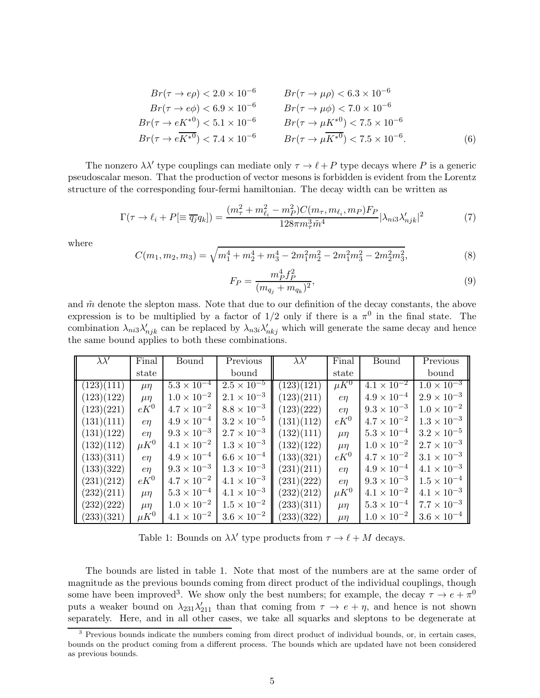$$
Br(\tau \to e\rho) < 2.0 \times 10^{-6} \qquad Br(\tau \to \mu\rho) < 6.3 \times 10^{-6}
$$
\n
$$
Br(\tau \to e\phi) < 6.9 \times 10^{-6} \qquad Br(\tau \to \mu\phi) < 7.0 \times 10^{-6}
$$
\n
$$
Br(\tau \to eK^{*0}) < 5.1 \times 10^{-6} \qquad Br(\tau \to \mu K^{*0}) < 7.5 \times 10^{-6}
$$
\n
$$
Br(\tau \to eK^{*0}) < 7.4 \times 10^{-6} \qquad Br(\tau \to \mu K^{*0}) < 7.5 \times 10^{-6}.
$$
\n
$$
(6)
$$

The nonzero  $\lambda \lambda'$  type couplings can mediate only  $\tau \to \ell + P$  type decays where P is a generic pseudoscalar meson. That the production of vector mesons is forbidden is evident from the Lorentz structure of the corresponding four-fermi hamiltonian. The decay width can be written as

$$
\Gamma(\tau \to \ell_i + P[\equiv \overline{q_j}q_k]) = \frac{(m_\tau^2 + m_{\ell_i}^2 - m_P^2)C(m_\tau, m_{\ell_i}, m_P)F_P}{128\pi m_\tau^3 \tilde{m}^4} |\lambda_{ni3}\lambda'_{njk}|^2 \tag{7}
$$

where

$$
C(m_1, m_2, m_3) = \sqrt{m_1^4 + m_2^4 + m_3^4 - 2m_1^2 m_2^2 - 2m_1^2 m_3^2 - 2m_2^2 m_3^2},
$$
\n(8)

$$
F_P = \frac{m_P^4 f_P^2}{(m_{q_j} + m_{q_k})^2},\tag{9}
$$

and  $\tilde{m}$  denote the slepton mass. Note that due to our definition of the decay constants, the above expression is to be multiplied by a factor of  $1/2$  only if there is a  $\pi^0$  in the final state. The combination  $\lambda_{ni3}\lambda'_{njk}$  can be replaced by  $\lambda_{n3i}\lambda'_{nkj}$  which will generate the same decay and hence the same bound applies to both these combinations.

| $\lambda \lambda'$ | Final        | Bound                | Previous             | $\lambda \lambda'$ | Final        | Bound                | Previous             |
|--------------------|--------------|----------------------|----------------------|--------------------|--------------|----------------------|----------------------|
|                    | state        |                      | bound                |                    | state        |                      | bound                |
| (123)(111)         | $\mu$ $\eta$ | $5.3 \times 10^{-4}$ | $2.5 \times 10^{-5}$ | (123)(121)         | $\mu K^0$    | $4.1 \times 10^{-2}$ | $1.0 \times 10^{-3}$ |
| (123)(122)         | $\mu$ $\eta$ | $1.0 \times 10^{-2}$ | $2.1 \times 10^{-3}$ | (123)(211)         | $e\eta$      | $4.9 \times 10^{-4}$ | $2.9 \times 10^{-3}$ |
| (123)(221)         | $eK^0$       | $4.7 \times 10^{-2}$ | $8.8 \times 10^{-3}$ | (123)(222)         | $e\eta$      | $9.3 \times 10^{-3}$ | $1.0 \times 10^{-2}$ |
| (131)(111)         | $e\eta$      | $4.9 \times 10^{-4}$ | $3.2 \times 10^{-5}$ | (131)(112)         | $eK^0$       | $4.7 \times 10^{-2}$ | $1.3 \times 10^{-3}$ |
| (131)(122)         | $e\eta$      | $9.3 \times 10^{-3}$ | $2.7 \times 10^{-3}$ | (132)(111)         | $\mu$ n      | $5.3 \times 10^{-4}$ | $3.2 \times 10^{-5}$ |
| (132)(112)         | $\mu K^0$    | $4.1 \times 10^{-2}$ | $1.3 \times 10^{-3}$ | (132)(122)         | $\mu$ $\eta$ | $1.0 \times 10^{-2}$ | $2.7 \times 10^{-3}$ |
| (133)(311)         | $e\eta$      | $4.9 \times 10^{-4}$ | $6.6 \times 10^{-4}$ | (133)(321)         | $eK^0$       | $4.7 \times 10^{-2}$ | $3.1 \times 10^{-3}$ |
| (133)(322)         | $e\eta$      | $9.3 \times 10^{-3}$ | $1.3 \times 10^{-3}$ | (231)(211)         | $e\eta$      | $4.9 \times 10^{-4}$ | $4.1 \times 10^{-3}$ |
| (231)(212)         | $eK^0$       | $4.7 \times 10^{-2}$ | $4.1 \times 10^{-3}$ | (231)(222)         | $e\eta$      | $9.3 \times 10^{-3}$ | $1.5 \times 10^{-4}$ |
| (232)(211)         | $\mu$ $\eta$ | $5.3 \times 10^{-4}$ | $4.1 \times 10^{-3}$ | (232)(212)         | $\mu K^0$    | $4.1 \times 10^{-2}$ | $4.1 \times 10^{-3}$ |
| (232)(222)         | $\mu$ n      | $1.0 \times 10^{-2}$ | $1.5 \times 10^{-2}$ | (233)(311)         | $\mu$ n      | $5.3 \times 10^{-4}$ | $7.7 \times 10^{-3}$ |
| (233)(321)         | $\mu K^0$    | $4.1 \times 10^{-2}$ | $3.6 \times 10^{-2}$ | (233)(322)         | $\mu$ n      | $1.0 \times 10^{-2}$ | $3.6 \times 10^{-4}$ |

Table 1: Bounds on  $\lambda \lambda'$  type products from  $\tau \to \ell + M$  decays.

The bounds are listed in table 1. Note that most of the numbers are at the same order of magnitude as the previous bounds coming from direct product of the individual couplings, though some have been improved<sup>3</sup>. We show only the best numbers; for example, the decay  $\tau \to e + \pi^0$ puts a weaker bound on  $\lambda_{231}\lambda'_{211}$  than that coming from  $\tau \to e + \eta$ , and hence is not shown separately. Here, and in all other cases, we take all squarks and sleptons to be degenerate at

<sup>&</sup>lt;sup>3</sup> Previous bounds indicate the numbers coming from direct product of individual bounds, or, in certain cases, bounds on the product coming from a different process. The bounds which are updated have not been considered as previous bounds.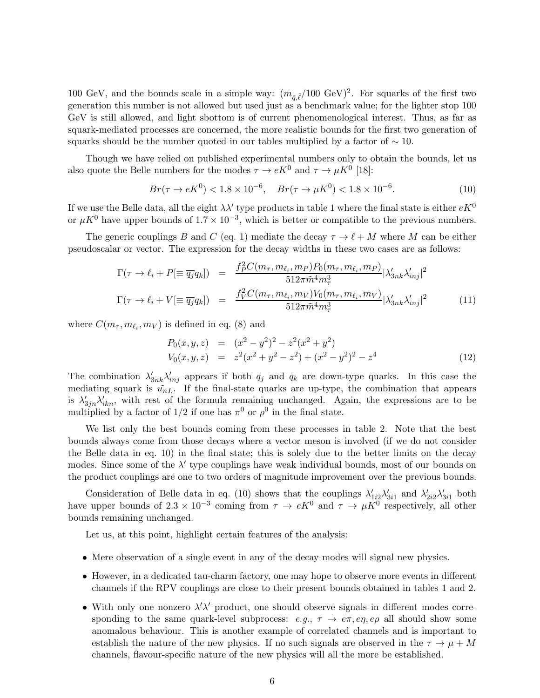100 GeV, and the bounds scale in a simple way:  $(m_{\tilde{q},\tilde{\ell}}/100 \text{ GeV})^2$ . For squarks of the first two generation this number is not allowed but used just as a benchmark value; for the lighter stop 100 GeV is still allowed, and light sbottom is of current phenomenological interest. Thus, as far as squark-mediated processes are concerned, the more realistic bounds for the first two generation of squarks should be the number quoted in our tables multiplied by a factor of  $\sim 10$ .

Though we have relied on published experimental numbers only to obtain the bounds, let us also quote the Belle numbers for the modes  $\tau \to eK^0$  and  $\tau \to \mu K^0$  [18]:

$$
Br(\tau \to eK^0) < 1.8 \times 10^{-6}, \quad Br(\tau \to \mu K^0) < 1.8 \times 10^{-6}.\tag{10}
$$

If we use the Belle data, all the eight  $\lambda\lambda'$  type products in table 1 where the final state is either  $eK^0$ or  $\mu K^0$  have upper bounds of  $1.7 \times 10^{-3}$ , which is better or compatible to the previous numbers.

The generic couplings B and C (eq. 1) mediate the decay  $\tau \to \ell + M$  where M can be either pseudoscalar or vector. The expression for the decay widths in these two cases are as follows:

$$
\Gamma(\tau \to \ell_i + P[\equiv \overline{q_j} q_k]) = \frac{f_P^2 C(m_\tau, m_{\ell_i}, m_P) P_0(m_\tau, m_{\ell_i}, m_P)}{512\pi \tilde{m}^4 m_\tau^3} |\lambda'_{3nk} \lambda'_{inj}|^2
$$
  
\n
$$
\Gamma(\tau \to \ell_i + V[\equiv \overline{q_j} q_k]) = \frac{f_V^2 C(m_\tau, m_{\ell_i}, m_V) V_0(m_\tau, m_{\ell_i}, m_V)}{512\pi \tilde{m}^4 m_\tau^3} |\lambda'_{3nk} \lambda'_{inj}|^2
$$
(11)

where  $C(m_{\tau}, m_{\ell_i}, m_V)$  is defined in eq. (8) and

$$
P_0(x, y, z) = (x^2 - y^2)^2 - z^2(x^2 + y^2)
$$
  
\n
$$
V_0(x, y, z) = z^2(x^2 + y^2 - z^2) + (x^2 - y^2)^2 - z^4
$$
\n(12)

The combination  $\lambda'_{3nk}\lambda'_{inj}$  appears if both  $q_j$  and  $q_k$  are down-type quarks. In this case the mediating squark is  $\tilde{u}_{nL}$ . If the final-state quarks are up-type, the combination that appears is  $\lambda'_{3jn}\lambda'_{ikn}$ , with rest of the formula remaining unchanged. Again, the expressions are to be multiplied by a factor of  $1/2$  if one has  $\pi^0$  or  $\rho^0$  in the final state.

We list only the best bounds coming from these processes in table 2. Note that the best bounds always come from those decays where a vector meson is involved (if we do not consider the Belle data in eq. 10) in the final state; this is solely due to the better limits on the decay modes. Since some of the  $\lambda'$  type couplings have weak individual bounds, most of our bounds on the product couplings are one to two orders of magnitude improvement over the previous bounds.

Consideration of Belle data in eq. (10) shows that the couplings  $\lambda'_{1i2}\lambda'_{3i1}$  and  $\lambda'_{2i2}\lambda'_{3i1}$  both have upper bounds of  $2.3 \times 10^{-3}$  coming from  $\tau \to eK^0$  and  $\tau \to \mu K^0$  respectively, all other bounds remaining unchanged.

Let us, at this point, highlight certain features of the analysis:

- Mere observation of a single event in any of the decay modes will signal new physics.
- However, in a dedicated tau-charm factory, one may hope to observe more events in different channels if the RPV couplings are close to their present bounds obtained in tables 1 and 2.
- With only one nonzero  $\lambda' \lambda'$  product, one should observe signals in different modes corresponding to the same quark-level subprocess:  $e.g., \tau \to e\pi, e\eta, e\rho$  all should show some anomalous behaviour. This is another example of correlated channels and is important to establish the nature of the new physics. If no such signals are observed in the  $\tau \to \mu + M$ channels, flavour-specific nature of the new physics will all the more be established.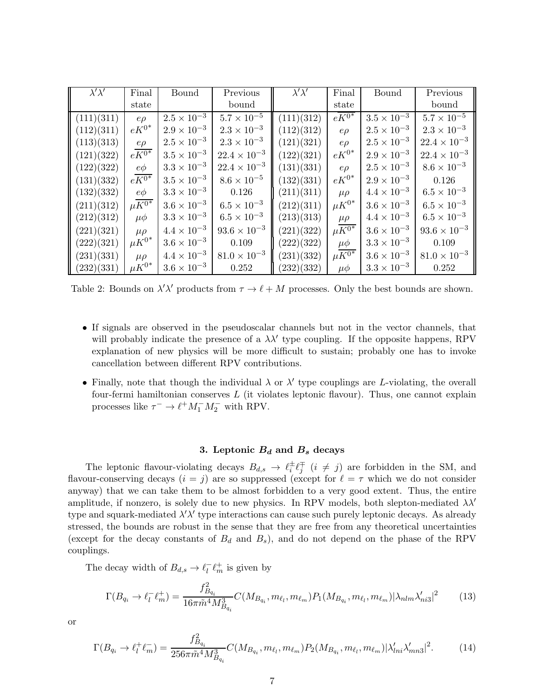| $\lambda' \lambda'$ | Final                   | Bound                | Previous              | $\lambda' \lambda'$ | Final                    | Bound                | Previous              |
|---------------------|-------------------------|----------------------|-----------------------|---------------------|--------------------------|----------------------|-----------------------|
|                     | state                   |                      | bound                 |                     | state                    |                      | bound                 |
| (111)(311)          | $e\rho$                 | $2.5 \times 10^{-3}$ | $5.7 \times 10^{-5}$  | (111)(312)          | $eK^{\overline{0^*}}$    | $3.5 \times 10^{-3}$ | $5.7 \times 10^{-5}$  |
| (112)(311)          | $eK^{0*}$               | $2.9 \times 10^{-3}$ | $2.3 \times 10^{-3}$  | (112)(312)          | $e\rho$                  | $2.5 \times 10^{-3}$ | $2.3 \times 10^{-3}$  |
| (113)(313)          | $e\rho$                 | $2.5 \times 10^{-3}$ | $2.3 \times 10^{-3}$  | (121)(321)          | $e\rho$                  | $2.5 \times 10^{-3}$ | $22.4 \times 10^{-3}$ |
| (121)(322)          | $eK^{\overline{0*}}$    | $3.5\times10^{-3}$   | $22.4 \times 10^{-3}$ | (122)(321)          | $eK^{0*}$                | $2.9 \times 10^{-3}$ | $22.4 \times 10^{-3}$ |
| (122)(322)          | $e\phi$                 | $3.3 \times 10^{-3}$ | $22.4 \times 10^{-3}$ | (131)(331)          | $e\rho$                  | $2.5 \times 10^{-3}$ | $8.6 \times 10^{-3}$  |
| (131)(332)          | $eK^{0*}$               | $3.5 \times 10^{-3}$ | $8.6 \times 10^{-5}$  | (132)(331)          | $eK^{0*}$                | $2.9 \times 10^{-3}$ | 0.126                 |
| (132)(332)          | $e\phi$                 | $3.3 \times 10^{-3}$ | 0.126                 | (211)(311)          | $\mu \rho$               | $4.4 \times 10^{-3}$ | $6.5 \times 10^{-3}$  |
| (211)(312)          | $\mu \overline{K^{0*}}$ | $3.6 \times 10^{-3}$ | $6.5 \times 10^{-3}$  | (212)(311)          | $\mu K^{0^*}$            | $3.6 \times 10^{-3}$ | $6.5 \times 10^{-3}$  |
| (212)(312)          | $\mu\phi$               | $3.3 \times 10^{-3}$ | $6.5 \times 10^{-3}$  | (213)(313)          | $\mu\rho$                | $4.4 \times 10^{-3}$ | $6.5 \times 10^{-3}$  |
| (221)(321)          | $\mu \rho$              | $4.4 \times 10^{-3}$ | $93.6 \times 10^{-3}$ | (221)(322)          | $\mu \overline{K^{0*}}$  | $3.6 \times 10^{-3}$ | $93.6 \times 10^{-3}$ |
| (222)(321)          | $\mu K^{0^*}$           | $3.6 \times 10^{-3}$ | 0.109                 | (222)(322)          | $\mu\phi$                | $3.3 \times 10^{-3}$ | 0.109                 |
| (231)(331)          | $\mu \rho$              | $4.4 \times 10^{-3}$ | $81.0 \times 10^{-3}$ | (231)(332)          | $\mu K^{\overline{0^*}}$ | $3.6 \times 10^{-3}$ | $81.0 \times 10^{-3}$ |
| (232)(331)          | $\mu K^{0^*}$           | $3.6 \times 10^{-3}$ | 0.252                 | (232)(332)          | $\mu\phi$                | $3.3 \times 10^{-3}$ | 0.252                 |

Table 2: Bounds on  $\lambda' \lambda'$  products from  $\tau \to \ell + M$  processes. Only the best bounds are shown.

- If signals are observed in the pseudoscalar channels but not in the vector channels, that will probably indicate the presence of a  $\lambda\lambda'$  type coupling. If the opposite happens, RPV explanation of new physics will be more difficult to sustain; probably one has to invoke cancellation between different RPV contributions.
- Finally, note that though the individual  $\lambda$  or  $\lambda'$  type couplings are *L*-violating, the overall four-fermi hamiltonian conserves  $L$  (it violates leptonic flavour). Thus, one cannot explain processes like  $\tau^- \to \ell^+ M_1^- M_2^-$  with RPV.

# 3. Leptonic  $B_d$  and  $B_s$  decays

The leptonic flavour-violating decays  $B_{d,s} \to \ell_i^{\pm} \ell_j^{\mp}$   $(i \neq j)$  are forbidden in the SM, and flavour-conserving decays  $(i = j)$  are so suppressed (except for  $\ell = \tau$  which we do not consider anyway) that we can take them to be almost forbidden to a very good extent. Thus, the entire amplitude, if nonzero, is solely due to new physics. In RPV models, both slepton-mediated  $\lambda \lambda'$ type and squark-mediated  $\lambda' \lambda'$  type interactions can cause such purely leptonic decays. As already stressed, the bounds are robust in the sense that they are free from any theoretical uncertainties (except for the decay constants of  $B_d$  and  $B_s$ ), and do not depend on the phase of the RPV couplings.

The decay width of  $B_{d,s} \to \ell_l^ \overline{l}$   $\ell_m^+$  is given by

$$
\Gamma(B_{q_i} \to \ell_l^- \ell_m^+) = \frac{f_{B_{q_i}}^2}{16\pi \tilde{m}^4 M_{B_{q_i}}^3} C(M_{B_{q_i}}, m_{\ell_l}, m_{\ell_m}) P_1(M_{B_{q_i}}, m_{\ell_l}, m_{\ell_m}) |\lambda_{nlm} \lambda'_{ni3}|^2 \tag{13}
$$

or

$$
\Gamma(B_{q_i} \to \ell_l^+ \ell_m^-) = \frac{f_{B_{q_i}}^2}{256\pi \tilde{m}^4 M_{B_{q_i}}^3} C(M_{B_{q_i}}, m_{\ell_l}, m_{\ell_m}) P_2(M_{B_{q_i}}, m_{\ell_l}, m_{\ell_m}) |\lambda'_{lni} \lambda'_{mn3}|^2. \tag{14}
$$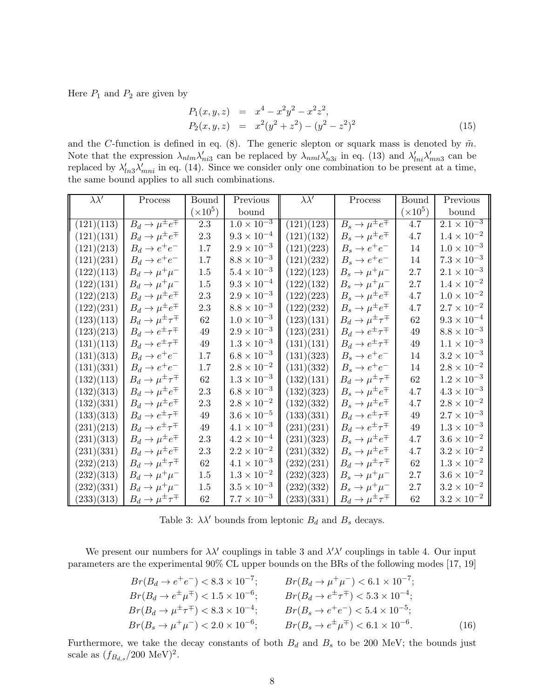Here  $P_1$  and  $P_2$  are given by

$$
P_1(x, y, z) = x^4 - x^2 y^2 - x^2 z^2,
$$
  
\n
$$
P_2(x, y, z) = x^2 (y^2 + z^2) - (y^2 - z^2)^2
$$
\n(15)

and the C-function is defined in eq. (8). The generic slepton or squark mass is denoted by  $\tilde{m}$ . Note that the expression  $\lambda_{nlm} \lambda'_{ni3}$  can be replaced by  $\lambda_{nml} \lambda'_{n3i}$  in eq. (13) and  $\lambda'_{lni} \lambda'_{mn3}$  can be replaced by  $\lambda'_{ln3}\lambda'_{mni}$  in eq. (14). Since we consider only one combination to be present at a time, the same bound applies to all such combinations.

| $\lambda \lambda'$      | Process                                        | Bound           | Previous                        | $\lambda \lambda'$ | Process                                | Bound           | Previous                        |
|-------------------------|------------------------------------------------|-----------------|---------------------------------|--------------------|----------------------------------------|-----------------|---------------------------------|
|                         |                                                | $(\times 10^5)$ | bound                           |                    |                                        | $(\times 10^5)$ | bound                           |
| $(121)(\overline{113})$ | $B_d \rightarrow \overline{\mu^{\pm} e^{\mp}}$ | 2.3             | $1.0 \times \overline{10^{-3}}$ | (121)(123)         | $B_s \to \overline{\mu^{\pm} e^{\mp}}$ | 4.7             | $2.1 \times \overline{10^{-3}}$ |
| (121)(131)              | $B_d \to \mu^{\pm} e^{\mp}$                    | 2.3             | $9.3\times10^{-4}$              | (121)(132)         | $B_s \to \mu^{\pm} e^{\mp}$            | 4.7             | $1.4 \times 10^{-2}$            |
| (121)(213)              | $B_d \rightarrow e^+e^-$                       | 1.7             | $2.9 \times 10^{-3}$            | (121)(223)         | $B_s \rightarrow e^+e^-$               | 14              | $1.0 \times 10^{-3}$            |
| (121)(231)              | $B_d \rightarrow e^+e^-$                       | 1.7             | $8.8 \times 10^{-3}$            | (121)(232)         | $B_s \rightarrow e^+e^-$               | 14              | $7.3 \times 10^{-3}$            |
| (122)(113)              | $B_d \rightarrow \mu^+\mu^-$                   | 1.5             | $5.4 \times 10^{-3}$            | (122)(123)         | $B_s \to \mu^+\mu^-$                   | 2.7             | $2.1 \times 10^{-3}$            |
| (122)(131)              | $B_d \to \mu^+\mu^-$                           | 1.5             | $9.3 \times 10^{-4}$            | (122)(132)         | $B_s \to \mu^+\mu^-$                   | 2.7             | $1.4\times10^{-2}$              |
| (122)(213)              | $B_d \to \mu^{\pm} e^{\mp}$                    | 2.3             | $2.9 \times 10^{-3}$            | (122)(223)         | $B_s \to \mu^{\pm} e^{\mp}$            | 4.7             | $1.0 \times 10^{-2}$            |
| (122)(231)              | $B_d \to \mu^{\pm} e^{\mp}$                    | 2.3             | $8.8 \times 10^{-3}$            | (122)(232)         | $B_s \to \mu^{\pm} e^{\mp}$            | 4.7             | $2.7 \times 10^{-2}$            |
| (123)(113)              | $B_d \to \mu^{\pm} \tau^{\mp}$                 | 62              | $1.0 \times 10^{-3}$            | (123)(131)         | $B_d \to \mu^{\pm} \tau^{\mp}$         | 62              | $9.3 \times 10^{-4}$            |
| (123)(213)              | $B_d \to e^{\pm} \tau^{\mp}$                   | 49              | $2.9 \times 10^{-3}$            | (123)(231)         | $B_d \to e^{\pm} \tau^{\mp}$           | 49              | $8.8 \times 10^{-3}$            |
| (131)(113)              | $B_d \to e^{\pm} \tau^{\mp}$                   | 49              | $1.3 \times 10^{-3}$            | (131)(131)         | $B_d \to e^{\pm} \tau^{\mp}$           | 49              | $1.1 \times 10^{-3}$            |
| (131)(313)              | $B_d \rightarrow e^+e^-$                       | 1.7             | $6.8 \times 10^{-3}$            | (131)(323)         | $B_s \rightarrow e^+e^-$               | 14              | $3.2\times10^{-3}$              |
| (131)(331)              | $B_d \rightarrow e^+e^-$                       | 1.7             | $2.8 \times 10^{-2}$            | (131)(332)         | $B_s \rightarrow e^+e^-$               | 14              | $2.8\times10^{-2}$              |
| (132)(113)              | $B_d \to \mu^{\pm} \tau^{\mp}$                 | 62              | $1.3 \times 10^{-3}$            | (132)(131)         | $B_d \to \mu^{\pm} \tau^{\mp}$         | 62              | $1.2 \times 10^{-3}$            |
| (132)(313)              | $B_d \to \mu^{\pm} e^{\mp}$                    | 2.3             | $6.8 \times 10^{-3}$            | (132)(323)         | $B_s \to \mu^{\pm} e^{\mp}$            | 4.7             | $4.3\times10^{-3}$              |
| (132)(331)              | $B_d \to \mu^{\pm} e^{\mp}$                    | 2.3             | $2.8 \times 10^{-2}$            | (132)(332)         | $B_s \to \mu^{\pm} e^{\mp}$            | 4.7             | $2.8\times10^{-2}$              |
| (133)(313)              | $B_d \to e^{\pm} \tau^{\mp}$                   | 49              | $3.6 \times 10^{-5}$            | (133)(331)         | $B_d \to e^{\pm} \tau^{\mp}$           | 49              | $2.7 \times 10^{-3}$            |
| (231)(213)              | $B_d \to e^{\pm} \tau^{\mp}$                   | 49              | $4.1 \times 10^{-3}$            | (231)(231)         | $B_d \to e^{\pm} \tau^{\mp}$           | 49              | $1.3\times10^{-3}$              |
| (231)(313)              | $B_d \to \mu^{\pm} e^{\mp}$                    | 2.3             | $4.2 \times 10^{-4}$            | (231)(323)         | $B_s \to \mu^{\pm} e^{\mp}$            | 4.7             | $3.6\times10^{-2}$              |
| (231)(331)              | $B_d \to \mu^{\pm} e^{\mp}$                    | 2.3             | $2.2 \times 10^{-2}$            | (231)(332)         | $B_s \to \mu^{\pm} e^{\mp}$            | 4.7             | $3.2 \times 10^{-2}$            |
| (232)(213)              | $B_d \to \mu^{\pm} \tau^{\mp}$                 | 62              | $4.1 \times 10^{-3}$            | (232)(231)         | $B_d \to \mu^{\pm} \tau^{\mp}$         | 62              | $1.3\times10^{-2}$              |
| (232)(313)              | $B_d \to \mu^+\mu^-$                           | 1.5             | $1.3 \times 10^{-2}$            | (232)(323)         | $B_s \to \mu^+\mu^-$                   | 2.7             | $3.6\times10^{-2}$              |
| (232)(331)              | $B_d \rightarrow \mu^+\mu^-$                   | 1.5             | $3.5 \times 10^{-3}$            | (232)(332)         | $B_s \to \mu^+\mu^-$                   | 2.7             | $3.2 \times 10^{-2}$            |
| (233)(313)              | $B_d \to \mu^{\pm} \tau^{\mp}$                 | 62              | $7.7 \times 10^{-3}$            | (233)(331)         | $B_d \to \mu^{\pm} \tau^{\mp}$         | 62              | $3.2 \times 10^{-2}$            |

Table 3:  $\lambda \lambda'$  bounds from leptonic  $B_d$  and  $B_s$  decays.

We present our numbers for  $\lambda \lambda'$  couplings in table 3 and  $\lambda' \lambda'$  couplings in table 4. Our input parameters are the experimental 90% CL upper bounds on the BRs of the following modes [17, 19]

$$
Br(B_d \to e^+e^-) < 8.3 \times 10^{-7}; \qquad Br(B_d \to \mu^+\mu^-) < 6.1 \times 10^{-7};
$$
\n
$$
Br(B_d \to e^{\pm}\mu^{\mp}) < 1.5 \times 10^{-6}; \qquad Br(B_d \to e^{\pm}\tau^{\mp}) < 5.3 \times 10^{-4};
$$
\n
$$
Br(B_d \to \mu^{\pm}\tau^{\mp}) < 8.3 \times 10^{-4}; \qquad Br(B_s \to e^{\pm}e^-) < 5.4 \times 10^{-5};
$$
\n
$$
Br(B_s \to \mu^+\mu^-) < 2.0 \times 10^{-6}; \qquad Br(B_s \to e^{\pm}\mu^{\mp}) < 6.1 \times 10^{-6}.
$$
\n
$$
(16)
$$

Furthermore, we take the decay constants of both  $B_d$  and  $B_s$  to be 200 MeV; the bounds just scale as  $(f_{B_{d,s}}/200 \text{ MeV})^2$ .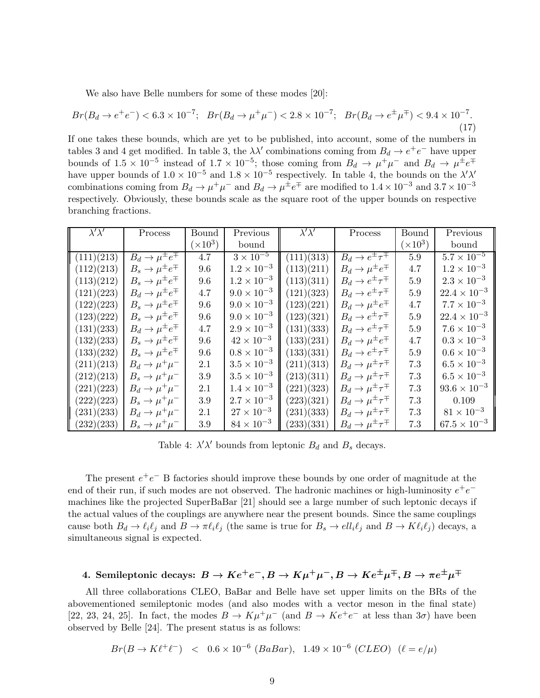We also have Belle numbers for some of these modes [20]:

$$
Br(B_d \to e^+e^-) < 6.3 \times 10^{-7}; \quad Br(B_d \to \mu^+\mu^-) < 2.8 \times 10^{-7}; \quad Br(B_d \to e^{\pm}\mu^{\mp}) < 9.4 \times 10^{-7}.\tag{17}
$$

If one takes these bounds, which are yet to be published, into account, some of the numbers in tables 3 and 4 get modified. In table 3, the  $\lambda \lambda'$  combinations coming from  $B_d \to e^+e^-$  have upper bounds of  $1.5 \times 10^{-5}$  instead of  $1.7 \times 10^{-5}$ ; those coming from  $B_d \to \mu^+ \mu^-$  and  $B_d \to \mu^{\pm} e^{\mp}$ have upper bounds of  $1.0 \times 10^{-5}$  and  $1.8 \times 10^{-5}$  respectively. In table 4, the bounds on the  $\lambda' \lambda'$ combinations coming from  $B_d \to \mu^+\mu^-$  and  $B_d \to \mu^{\pm}e^{\mp}$  are modified to  $1.4 \times 10^{-3}$  and  $3.7 \times 10^{-3}$ respectively. Obviously, these bounds scale as the square root of the upper bounds on respective branching fractions.

| $\overline{\lambda' \lambda'}$ | Process                      | Bound           | Previous             | $\lambda' \lambda'$ | Process                                 | Bound           | Previous              |
|--------------------------------|------------------------------|-----------------|----------------------|---------------------|-----------------------------------------|-----------------|-----------------------|
|                                |                              | $(\times 10^3)$ | bound                |                     |                                         | $(\times 10^3)$ | bound                 |
| (111)(213)                     | $B_d \to \mu^{\pm} e^{\mp}$  | 4.7             | $3 \times 10^{-5}$   | (111)(313)          | $B_d \to e^{\pm} \tau^{\overline{\mp}}$ | 5.9             | $5.7 \times 10^{-5}$  |
| (112)(213)                     | $B_s \to \mu^{\pm} e^{\mp}$  | 9.6             | $1.2 \times 10^{-3}$ | (113)(211)          | $B_d \to \mu^{\pm} e^{\mp}$             | 4.7             | $1.2 \times 10^{-3}$  |
| (113)(212)                     | $B_s \to \mu^{\pm} e^{\mp}$  | 9.6             | $1.2 \times 10^{-3}$ | (113)(311)          | $B_d \to e^{\pm} \tau^{\mp}$            | 5.9             | $2.3 \times 10^{-3}$  |
| (121)(223)                     | $B_d \to \mu^{\pm} e^{\mp}$  | 4.7             | $9.0 \times 10^{-3}$ | (121)(323)          | $B_d \to e^{\pm} \tau^{\mp}$            | 5.9             | $22.4 \times 10^{-3}$ |
| (122)(223)                     | $B_s \to \mu^{\pm} e^{\mp}$  | 9.6             | $9.0 \times 10^{-3}$ | (123)(221)          | $B_d \to \mu^{\pm} e^{\mp}$             | 4.7             | $7.7 \times 10^{-3}$  |
| (123)(222)                     | $B_s \to \mu^{\pm} e^{\mp}$  | 9.6             | $9.0 \times 10^{-3}$ | (123)(321)          | $B_d \to e^{\pm} \tau^{\mp}$            | 5.9             | $22.4 \times 10^{-3}$ |
| (131)(233)                     | $B_d \to \mu^{\pm} e^{\mp}$  | 4.7             | $2.9 \times 10^{-3}$ | (131)(333)          | $B_d \to e^{\pm} \tau^{\mp}$            | 5.9             | $7.6 \times 10^{-3}$  |
| (132)(233)                     | $B_s \to \mu^{\pm} e^{\mp}$  | 9.6             | $42 \times 10^{-3}$  | (133)(231)          | $B_d \to \mu^{\pm} e^{\mp}$             | 4.7             | $0.3 \times 10^{-3}$  |
| (133)(232)                     | $B_s \to \mu^{\pm} e^{\mp}$  | 9.6             | $0.8 \times 10^{-3}$ | (133)(331)          | $B_d \to e^{\pm} \tau^{\mp}$            | 5.9             | $0.6 \times 10^{-3}$  |
| (211)(213)                     | $B_d \rightarrow \mu^+\mu^-$ | 2.1             | $3.5 \times 10^{-3}$ | (211)(313)          | $B_d \to \mu^{\pm} \tau^{\mp}$          | 7.3             | $6.5 \times 10^{-3}$  |
| (212)(213)                     | $B_s \to \mu^+\mu^-$         | 3.9             | $3.5 \times 10^{-3}$ | (213)(311)          | $B_d \to \mu^{\pm} \tau^{\mp}$          | 7.3             | $6.5 \times 10^{-3}$  |
| (221)(223)                     | $B_d \rightarrow \mu^+\mu^-$ | 2.1             | $1.4 \times 10^{-3}$ | (221)(323)          | $B_d \to \mu^{\pm} \tau^{\mp}$          | 7.3             | $93.6 \times 10^{-3}$ |
| (222)(223)                     | $B_s \to \mu^+\mu^-$         | 3.9             | $2.7 \times 10^{-3}$ | (223)(321)          | $B_d \to \mu^{\pm} \tau^{\mp}$          | 7.3             | 0.109                 |
| (231)(233)                     | $B_d \rightarrow \mu^+\mu^-$ | 2.1             | $27 \times 10^{-3}$  | (231)(333)          | $B_d \to \mu^{\pm} \tau^{\mp}$          | 7.3             | $81 \times 10^{-3}$   |
| (232)(233)                     | $B_s \to \mu^+\mu^-$         | $3.9\,$         | $84 \times 10^{-3}$  | (233)(331)          | $B_d \to \mu^{\pm} \tau^{\mp}$          | 7.3             | $67.5 \times 10^{-3}$ |

Table 4:  $\lambda' \lambda'$  bounds from leptonic  $B_d$  and  $B_s$  decays.

The present  $e^+e^-$  B factories should improve these bounds by one order of magnitude at the end of their run, if such modes are not observed. The hadronic machines or high-luminosity  $e^+e^$ machines like the projected SuperBaBar [21] should see a large number of such leptonic decays if the actual values of the couplings are anywhere near the present bounds. Since the same couplings cause both  $B_d \to \ell_i \ell_j$  and  $B \to \pi \ell_i \ell_j$  (the same is true for  $B_s \to ell_i \ell_j$  and  $B \to K \ell_i \ell_j$ ) decays, a simultaneous signal is expected.

# 4. Semileptonic decays:  $B \to K e^+e^-, B \to K \mu^+\mu^-, B \to K e^{\pm}\mu^{\mp}, B \to \pi e^{\pm}\mu^{\mp}$

All three collaborations CLEO, BaBar and Belle have set upper limits on the BRs of the abovementioned semileptonic modes (and also modes with a vector meson in the final state) [22, 23, 24, 25]. In fact, the modes  $B \to K\mu^+\mu^-$  (and  $B \to K e^+e^-$  at less than  $3\sigma$ ) have been observed by Belle [24]. The present status is as follows:

$$
Br(B \to K\ell^+\ell^-) \ < \ 0.6 \times 10^{-6} \ (BaBar), \ \ 1.49 \times 10^{-6} \ (CLEO) \ \ (\ell = e/\mu)
$$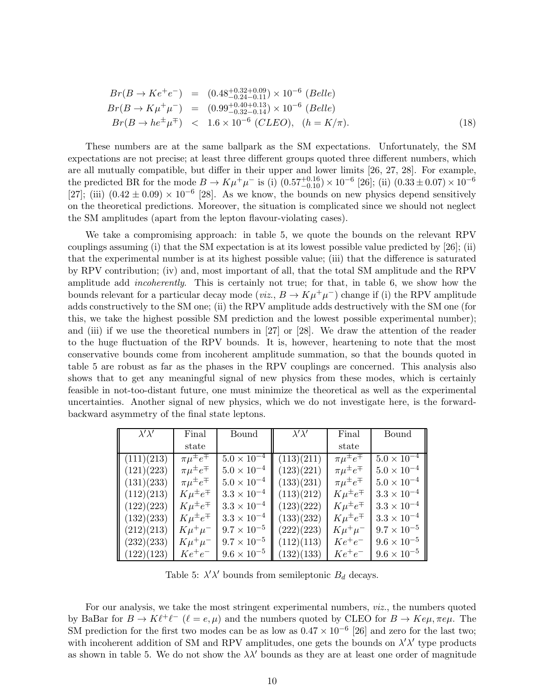$$
Br(B \to Ke^+e^-) = (0.48^{+0.32+0.09}_{-0.24-0.11}) \times 10^{-6} \ (Belle)
$$
  
\n
$$
Br(B \to K\mu^+\mu^-) = (0.99^{+0.40+0.13}_{-0.32-0.14}) \times 10^{-6} \ (Belle)
$$
  
\n
$$
Br(B \to he^{\pm}\mu^{\mp}) < 1.6 \times 10^{-6} \ (CLEO), \ (h = K/\pi).
$$
 (18)

These numbers are at the same ballpark as the SM expectations. Unfortunately, the SM expectations are not precise; at least three different groups quoted three different numbers, which are all mutually compatible, but differ in their upper and lower limits [26, 27, 28]. For example, the predicted BR for the mode  $B \to K \mu^+ \mu^-$  is (i)  $(0.57^{+0.16}_{-0.10}) \times 10^{-6}$  [26]; (ii)  $(0.33 \pm 0.07) \times 10^{-6}$ [27]; (iii)  $(0.42 \pm 0.09) \times 10^{-6}$  [28]. As we know, the bounds on new physics depend sensitively on the theoretical predictions. Moreover, the situation is complicated since we should not neglect the SM amplitudes (apart from the lepton flavour-violating cases).

We take a compromising approach: in table 5, we quote the bounds on the relevant RPV couplings assuming (i) that the SM expectation is at its lowest possible value predicted by [26]; (ii) that the experimental number is at its highest possible value; (iii) that the difference is saturated by RPV contribution; (iv) and, most important of all, that the total SM amplitude and the RPV amplitude add *incoherently*. This is certainly not true; for that, in table 6, we show how the bounds relevant for a particular decay mode (viz.,  $B \to K\mu^+\mu^-$ ) change if (i) the RPV amplitude adds constructively to the SM one; (ii) the RPV amplitude adds destructively with the SM one (for this, we take the highest possible SM prediction and the lowest possible experimental number); and (iii) if we use the theoretical numbers in [27] or [28]. We draw the attention of the reader to the huge fluctuation of the RPV bounds. It is, however, heartening to note that the most conservative bounds come from incoherent amplitude summation, so that the bounds quoted in table 5 are robust as far as the phases in the RPV couplings are concerned. This analysis also shows that to get any meaningful signal of new physics from these modes, which is certainly feasible in not-too-distant future, one must minimize the theoretical as well as the experimental uncertainties. Another signal of new physics, which we do not investigate here, is the forwardbackward asymmetry of the final state leptons.

| $\lambda' \lambda'$ | Final                   | Bound                | $\lambda' \lambda'$ | Final                   | Bound                |
|---------------------|-------------------------|----------------------|---------------------|-------------------------|----------------------|
|                     | state                   |                      |                     | state                   |                      |
| (111)(213)          | $\pi \mu^{\pm} e^{\mp}$ | $5.0 \times 10^{-4}$ | (113)(211)          | $\pi\mu^{\pm}e^{\mp}$   | $5.0 \times 10^{-4}$ |
| (121)(223)          | $\pi \mu^{\pm} e^{\mp}$ | $5.0 \times 10^{-4}$ | (123)(221)          | $\pi \mu^{\pm} e^{\mp}$ | $5.0 \times 10^{-4}$ |
| (131)(233)          | $\pi \mu^{\pm} e^{\mp}$ | $5.0 \times 10^{-4}$ | (133)(231)          | $\pi\mu^{\pm}e^{\mp}$   | $5.0 \times 10^{-4}$ |
| (112)(213)          | $K\mu^{\pm}e^{\mp}$     | $3.3 \times 10^{-4}$ | (113)(212)          | $K\mu^{\pm}e^{\mp}$     | $3.3 \times 10^{-4}$ |
| (122)(223)          | $K\mu^{\pm}e^{\mp}$     | $3.3 \times 10^{-4}$ | (123)(222)          | $K\mu^{\pm}e^{\mp}$     | $3.3 \times 10^{-4}$ |
| (132)(233)          | $K\mu^{\pm}e^{\mp}$     | $3.3 \times 10^{-4}$ | (133)(232)          | $K\mu^{\pm}e^{\mp}$     | $3.3 \times 10^{-4}$ |
| (212)(213)          | $K\mu^+\mu^-$           | $9.7 \times 10^{-5}$ | (222)(223)          | $K\mu^+\mu^-$           | $9.7 \times 10^{-5}$ |
| (232)(233)          | $K\mu^+\mu^-$           | $9.7 \times 10^{-5}$ | (112)(113)          | $Ke^+e^-$               | $9.6 \times 10^{-5}$ |
| (122)(123)          | $Ke^+e^-$               | $9.6 \times 10^{-5}$ | (132)(133)          | $Ke^+e^-$               | $9.6 \times 10^{-5}$ |

Table 5:  $\lambda' \lambda'$  bounds from semileptonic  $B_d$  decays.

For our analysis, we take the most stringent experimental numbers, viz., the numbers quoted by BaBar for  $B \to K\ell^+\ell^ (\ell = e, \mu)$  and the numbers quoted by CLEO for  $B \to K e\mu, \pi e\mu$ . The SM prediction for the first two modes can be as low as  $0.47 \times 10^{-6}$  [26] and zero for the last two; with incoherent addition of SM and RPV amplitudes, one gets the bounds on  $\lambda' \lambda'$  type products as shown in table 5. We do not show the  $\lambda\lambda'$  bounds as they are at least one order of magnitude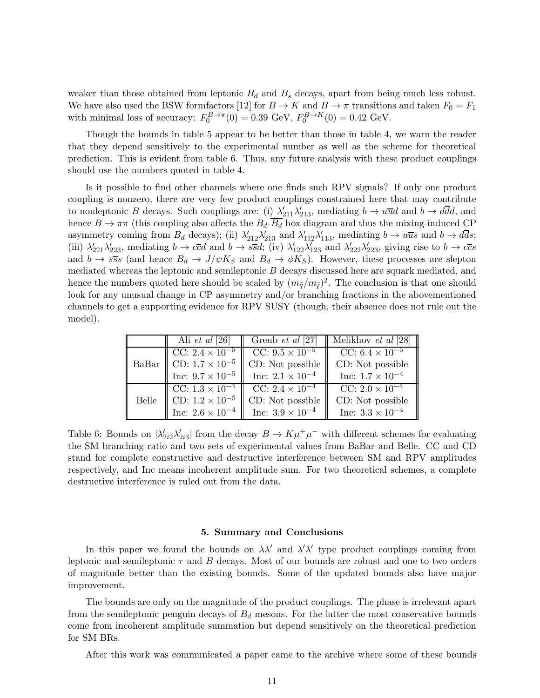weaker than those obtained from leptonic  $B_d$  and  $B_s$  decays, apart from being much less robust. We have also used the BSW formfactors [12] for  $B \to K$  and  $B \to \pi$  transitions and taken  $F_0 = F_1$ with minimal loss of accuracy:  $F_0^{B\to\pi}(0) = 0.39 \text{ GeV}, F_0^{B\to K}(0) = 0.42 \text{ GeV}.$ 

Though the bounds in table 5 appear to be better than those in table 4, we warn the reader that they depend sensitively to the experimental number as well as the scheme for theoretical prediction. This is evident from table 6. Thus, any future analysis with these product couplings should use the numbers quoted in table 4.

Is it possible to find other channels where one finds such RPV signals? If only one product coupling is nonzero, there are very few product couplings constrained here that may contribute to nonleptonic B decays. Such couplings are: (i)  $\lambda'_{211}\lambda'_{213}$ , mediating  $b \to u\overline{u}d$  and  $b \to d\overline{d}d$ , and hence  $B \to \pi\pi$  (this coupling also affects the  $B_d$ - $\overline{B_d}$  box diagram and thus the mixing-induced CP asymmetry coming from  $B_d$  decays); (ii)  $\lambda'_{212}\lambda'_{213}$  and  $\lambda'_{112}\lambda'_{113}$ , mediating  $b \to u\overline{u}s$  and  $b \to d\overline{d}s$ ; (iii)  $\lambda'_{221}\lambda'_{223}$ , mediating  $b \to c\overline{c}d$  and  $b \to s\overline{s}d$ ; (iv)  $\lambda'_{122}\lambda'_{123}$  and  $\lambda'_{222}\lambda'_{223}$ , giving rise to  $b \to c\overline{c}s$ and  $b \to s\bar{s}s$  (and hence  $B_d \to J/\psi K_s$  and  $B_d \to \phi K_s$ ). However, these processes are slepton mediated whereas the leptonic and semileptonic B decays discussed here are squark mediated, and hence the numbers quoted here should be scaled by  $(m_{\tilde{q}}/m_{\tilde{\ell}})^2$ . The conclusion is that one should look for any unusual change in CP asymmetry and/or branching fractions in the abovementioned channels to get a supporting evidence for RPV SUSY (though, their absence does not rule out the model).

|       | Ali <i>et al</i> [26]     | Greub <i>et al</i> [27]   | Melikhov et al [28]       |
|-------|---------------------------|---------------------------|---------------------------|
|       | CC: $2.4 \times 10^{-5}$  | CC: $9.5 \times 10^{-5}$  | CC: $6.4 \times 10^{-5}$  |
| BaBar | CD: $1.7 \times 10^{-5}$  | CD: Not possible          | CD: Not possible          |
|       | Inc: $9.7 \times 10^{-5}$ | Inc: $2.1 \times 10^{-4}$ | Inc: $1.7 \times 10^{-4}$ |
|       | CC: $1.3 \times 10^{-4}$  | CC: $2.4 \times 10^{-4}$  | CC: $2.0 \times 10^{-4}$  |
| Belle | CD: $1.2 \times 10^{-5}$  | CD: Not possible          | CD: Not possible          |
|       | Inc: $2.6 \times 10^{-4}$ | Inc: $3.9 \times 10^{-4}$ | Inc: $3.3 \times 10^{-4}$ |

Table 6: Bounds on  $|\lambda'_{2i2}\lambda'_{2i3}|$  from the decay  $B \to K\mu^+\mu^-$  with different schemes for evaluating the SM branching ratio and two sets of experimental values from BaBar and Belle. CC and CD stand for complete constructive and destructive interference between SM and RPV amplitudes respectively, and Inc means incoherent amplitude sum. For two theoretical schemes, a complete destructive interference is ruled out from the data.

# 5. Summary and Conclusions

In this paper we found the bounds on  $\lambda \lambda'$  and  $\lambda' \lambda'$  type product couplings coming from leptonic and semileptonic  $\tau$  and  $B$  decays. Most of our bounds are robust and one to two orders of magnitude better than the existing bounds. Some of the updated bounds also have major improvement.

The bounds are only on the magnitude of the product couplings. The phase is irrelevant apart from the semileptonic penguin decays of  $B_d$  mesons. For the latter the most conservative bounds come from incoherent amplitude summation but depend sensitively on the theoretical prediction for SM BRs.

After this work was communicated a paper came to the archive where some of these bounds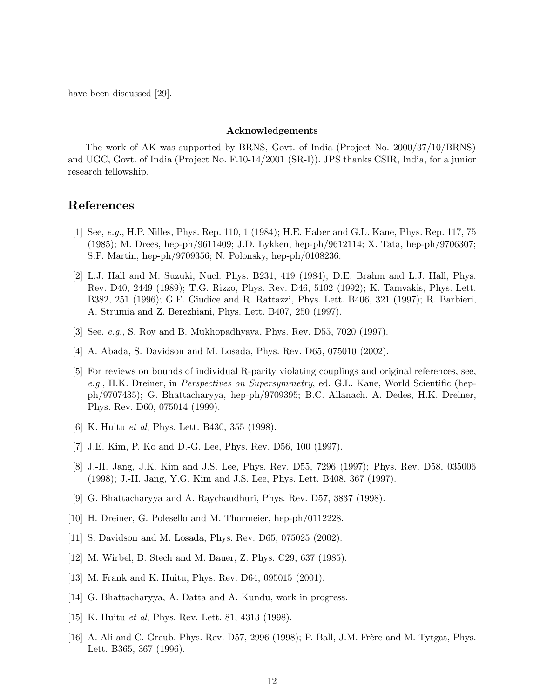have been discussed [29].

## Acknowledgements

The work of AK was supported by BRNS, Govt. of India (Project No. 2000/37/10/BRNS) and UGC, Govt. of India (Project No. F.10-14/2001 (SR-I)). JPS thanks CSIR, India, for a junior research fellowship.

# References

- [1] See, e.g., H.P. Nilles, Phys. Rep. 110, 1 (1984); H.E. Haber and G.L. Kane, Phys. Rep. 117, 75 (1985); M. Drees, hep-ph/9611409; J.D. Lykken, hep-ph/9612114; X. Tata, hep-ph/9706307; S.P. Martin, hep-ph/9709356; N. Polonsky, hep-ph/0108236.
- [2] L.J. Hall and M. Suzuki, Nucl. Phys. B231, 419 (1984); D.E. Brahm and L.J. Hall, Phys. Rev. D40, 2449 (1989); T.G. Rizzo, Phys. Rev. D46, 5102 (1992); K. Tamvakis, Phys. Lett. B382, 251 (1996); G.F. Giudice and R. Rattazzi, Phys. Lett. B406, 321 (1997); R. Barbieri, A. Strumia and Z. Berezhiani, Phys. Lett. B407, 250 (1997).
- [3] See, e.g., S. Roy and B. Mukhopadhyaya, Phys. Rev. D55, 7020 (1997).
- [4] A. Abada, S. Davidson and M. Losada, Phys. Rev. D65, 075010 (2002).
- [5] For reviews on bounds of individual R-parity violating couplings and original references, see, e.g., H.K. Dreiner, in *Perspectives on Supersymmetry*, ed. G.L. Kane, World Scientific (hepph/9707435); G. Bhattacharyya, hep-ph/9709395; B.C. Allanach. A. Dedes, H.K. Dreiner, Phys. Rev. D60, 075014 (1999).
- [6] K. Huitu et al, Phys. Lett. B430, 355 (1998).
- [7] J.E. Kim, P. Ko and D.-G. Lee, Phys. Rev. D56, 100 (1997).
- [8] J.-H. Jang, J.K. Kim and J.S. Lee, Phys. Rev. D55, 7296 (1997); Phys. Rev. D58, 035006 (1998); J.-H. Jang, Y.G. Kim and J.S. Lee, Phys. Lett. B408, 367 (1997).
- [9] G. Bhattacharyya and A. Raychaudhuri, Phys. Rev. D57, 3837 (1998).
- [10] H. Dreiner, G. Polesello and M. Thormeier, hep-ph/0112228.
- [11] S. Davidson and M. Losada, Phys. Rev. D65, 075025 (2002).
- [12] M. Wirbel, B. Stech and M. Bauer, Z. Phys. C29, 637 (1985).
- [13] M. Frank and K. Huitu, Phys. Rev. D64, 095015 (2001).
- [14] G. Bhattacharyya, A. Datta and A. Kundu, work in progress.
- [15] K. Huitu et al, Phys. Rev. Lett. 81, 4313 (1998).
- [16] A. Ali and C. Greub, Phys. Rev. D57, 2996 (1998); P. Ball, J.M. Frère and M. Tytgat, Phys. Lett. B365, 367 (1996).